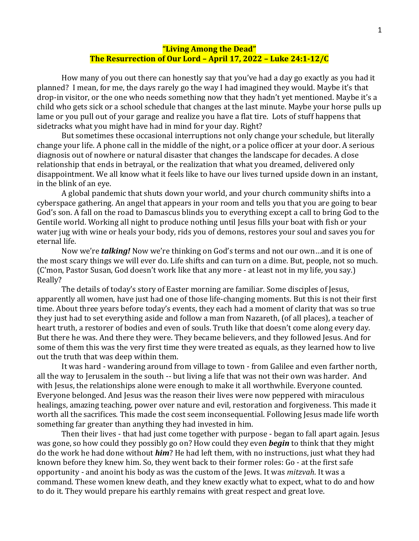## **"Living Among the Dead" The Resurrection of Our Lord – April 17, 2022 – Luke 24:1-12/C**

How many of you out there can honestly say that you've had a day go exactly as you had it planned? I mean, for me, the days rarely go the way I had imagined they would. Maybe it's that drop-in visitor, or the one who needs something now that they hadn't yet mentioned. Maybe it's a child who gets sick or a school schedule that changes at the last minute. Maybe your horse pulls up lame or you pull out of your garage and realize you have a flat tire. Lots of stuff happens that sidetracks what you might have had in mind for your day. Right?

But sometimes these occasional interruptions not only change your schedule, but literally change your life. A phone call in the middle of the night, or a police officer at your door. A serious diagnosis out of nowhere or natural disaster that changes the landscape for decades. A close relationship that ends in betrayal, or the realization that what you dreamed, delivered only disappointment. We all know what it feels like to have our lives turned upside down in an instant, in the blink of an eye.

A global pandemic that shuts down your world, and your church community shifts into a cyberspace gathering. An angel that appears in your room and tells you that you are going to bear God's son. A fall on the road to Damascus blinds you to everything except a call to bring God to the Gentile world. Working all night to produce nothing until Jesus fills your boat with fish or your water jug with wine or heals your body, rids you of demons, restores your soul and saves you for eternal life.

Now we're *talking!* Now we're thinking on God's terms and not our own…and it is one of the most scary things we will ever do. Life shifts and can turn on a dime. But, people, not so much. (C'mon, Pastor Susan, God doesn't work like that any more - at least not in my life, you say.) Really?

The details of today's story of Easter morning are familiar. Some disciples of Jesus, apparently all women, have just had one of those life-changing moments. But this is not their first time. About three years before today's events, they each had a moment of clarity that was so true they just had to set everything aside and follow a man from Nazareth, (of all places), a teacher of heart truth, a restorer of bodies and even of souls. Truth like that doesn't come along every day. But there he was. And there they were. They became believers, and they followed Jesus. And for some of them this was the very first time they were treated as equals, as they learned how to live out the truth that was deep within them.

It was hard - wandering around from village to town - from Galilee and even farther north, all the way to Jerusalem in the south -- but living a life that was not their own was harder. And with Jesus, the relationships alone were enough to make it all worthwhile. Everyone counted. Everyone belonged. And Jesus was the reason their lives were now peppered with miraculous healings, amazing teaching, power over nature and evil, restoration and forgiveness. This made it worth all the sacrifices. This made the cost seem inconsequential. Following Jesus made life worth something far greater than anything they had invested in him.

Then their lives - that had just come together with purpose - began to fall apart again. Jesus was gone, so how could they possibly go on? How could they even *begin* to think that they might do the work he had done without *him*? He had left them, with no instructions, just what they had known before they knew him. So, they went back to their former roles: Go - at the first safe opportunity - and anoint his body as was the custom of the Jews. It was *mitzvah*. It was a command. These women knew death, and they knew exactly what to expect, what to do and how to do it. They would prepare his earthly remains with great respect and great love.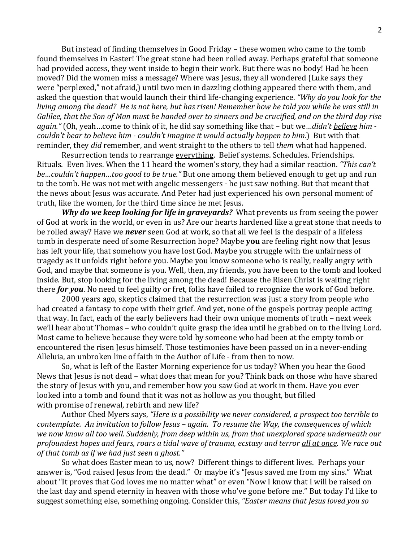But instead of finding themselves in Good Friday – these women who came to the tomb found themselves in Easter! The great stone had been rolled away. Perhaps grateful that someone had provided access, they went inside to begin their work. But there was no body! Had he been moved? Did the women miss a message? Where was Jesus, they all wondered (Luke says they were "perplexed," not afraid,) until two men in dazzling clothing appeared there with them, and asked the question that would launch their third life-changing experience. *"Why do you look for the* living among the dead? He is not here, but has risen! Remember how he told you while he was still in Galilee, that the Son of Man must be handed over to sinners and be crucified, and on the third day rise *again."* (Oh, yeah…come to think of it, he did say something like that – but we…*didn't believe him couldn't bear to believe him - couldn't imagine it would actually happen to him.*) But with that reminder, they *did* remember, and went straight to the others to tell *them* what had happened.

Resurrection tends to rearrange everything. Belief systems. Schedules. Friendships. Rituals. Even lives. When the 11 heard the women's story, they had a similar reaction. *"This can't be…couldn't happen…too good to be true."* But one among them believed enough to get up and run to the tomb. He was not met with angelic messengers - he just saw nothing. But that meant that the news about Jesus was accurate. And Peter had just experienced his own personal moment of truth, like the women, for the third time since he met Jesus.

*Why do we keep looking for life in graveyards?* What prevents us from seeing the power of God at work in the world, or even in us? Are our hearts hardened like a great stone that needs to be rolled away? Have we *never* seen God at work, so that all we feel is the despair of a lifeless tomb in desperate need of some Resurrection hope? Maybe **you** are feeling right now that Jesus has left your life, that somehow you have lost God. Maybe you struggle with the unfairness of tragedy as it unfolds right before you. Maybe you know someone who is really, really angry with God, and maybe that someone is you. Well, then, my friends, you have been to the tomb and looked inside. But, stop looking for the living among the dead! Because the Risen Christ is waiting right there *for you*. No need to feel guilty or fret, folks have failed to recognize the work of God before.

2000 years ago, skeptics claimed that the resurrection was just a story from people who had created a fantasy to cope with their grief. And yet, none of the gospels portray people acting that way. In fact, each of the early believers had their own unique moments of truth – next week we'll hear about Thomas – who couldn't quite grasp the idea until he grabbed on to the living Lord. Most came to believe because they were told by someone who had been at the empty tomb or encountered the risen Jesus himself. Those testimonies have been passed on in a never-ending Alleluia, an unbroken line of faith in the Author of Life - from then to now.

So, what is left of the Easter Morning experience for us today? When you hear the Good News that Jesus is not dead – what does that mean for you? Think back on those who have shared the story of Jesus with you, and remember how you saw God at work in them. Have you ever looked into a tomb and found that it was not as hollow as you thought, but filled with promise of renewal, rebirth and new life?

Author Ched Myers says, *"Here is a possibility we never considered, a prospect too terrible to contemplate. An invitation to follow Jesus – again. To resume the Way, the consequences of which we now know all too well. Suddenly, from deep within us, from that unexplored space underneath our* profoundest hopes and fears, roars a tidal wave of trauma, ecstasy and terror all at once. We race out *of that tomb as if we had just seen a ghost."*

So what does Easter mean to us, now? Different things to different lives. Perhaps your answer is, "God raised Jesus from the dead." Or maybe it's "Jesus saved me from my sins." What about "It proves that God loves me no matter what" or even "Now I know that I will be raised on the last day and spend eternity in heaven with those who've gone before me." But today I'd like to suggest something else, something ongoing. Consider this, *"Easter means that Jesus loved you so*